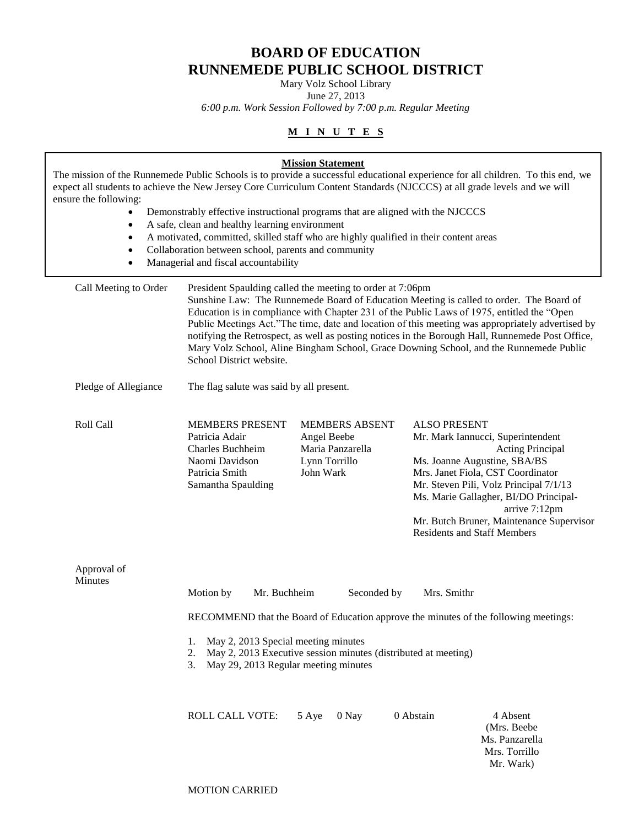# **BOARD OF EDUCATION RUNNEMEDE PUBLIC SCHOOL DISTRICT**

Mary Volz School Library

June 27, 2013 *6:00 p.m. Work Session Followed by 7:00 p.m. Regular Meeting*

# **M I N U T E S**

| ensure the following:<br>$\bullet$<br>$\bullet$<br>$\bullet$<br>$\bullet$ | Demonstrably effective instructional programs that are aligned with the NJCCCS<br>A safe, clean and healthy learning environment<br>A motivated, committed, skilled staff who are highly qualified in their content areas<br>Collaboration between school, parents and community<br>Managerial and fiscal accountability                                                                                                                                                                                                                                                         | <b>Mission Statement</b>                                                               | The mission of the Runnemede Public Schools is to provide a successful educational experience for all children. To this end, we<br>expect all students to achieve the New Jersey Core Curriculum Content Standards (NJCCCS) at all grade levels and we will                                                                             |  |  |
|---------------------------------------------------------------------------|----------------------------------------------------------------------------------------------------------------------------------------------------------------------------------------------------------------------------------------------------------------------------------------------------------------------------------------------------------------------------------------------------------------------------------------------------------------------------------------------------------------------------------------------------------------------------------|----------------------------------------------------------------------------------------|-----------------------------------------------------------------------------------------------------------------------------------------------------------------------------------------------------------------------------------------------------------------------------------------------------------------------------------------|--|--|
| Call Meeting to Order                                                     | President Spaulding called the meeting to order at 7:06pm<br>Sunshine Law: The Runnemede Board of Education Meeting is called to order. The Board of<br>Education is in compliance with Chapter 231 of the Public Laws of 1975, entitled the "Open<br>Public Meetings Act."The time, date and location of this meeting was appropriately advertised by<br>notifying the Retrospect, as well as posting notices in the Borough Hall, Runnemede Post Office,<br>Mary Volz School, Aline Bingham School, Grace Downing School, and the Runnemede Public<br>School District website. |                                                                                        |                                                                                                                                                                                                                                                                                                                                         |  |  |
| Pledge of Allegiance                                                      | The flag salute was said by all present.                                                                                                                                                                                                                                                                                                                                                                                                                                                                                                                                         |                                                                                        |                                                                                                                                                                                                                                                                                                                                         |  |  |
| Roll Call                                                                 | <b>MEMBERS PRESENT</b><br>Patricia Adair<br><b>Charles Buchheim</b><br>Naomi Davidson<br>Patricia Smith<br>Samantha Spaulding                                                                                                                                                                                                                                                                                                                                                                                                                                                    | <b>MEMBERS ABSENT</b><br>Angel Beebe<br>Maria Panzarella<br>Lynn Torrillo<br>John Wark | <b>ALSO PRESENT</b><br>Mr. Mark Iannucci, Superintendent<br>Acting Principal<br>Ms. Joanne Augustine, SBA/BS<br>Mrs. Janet Fiola, CST Coordinator<br>Mr. Steven Pili, Volz Principal 7/1/13<br>Ms. Marie Gallagher, BI/DO Principal-<br>arrive 7:12pm<br>Mr. Butch Bruner, Maintenance Supervisor<br><b>Residents and Staff Members</b> |  |  |
| Approval of<br>Minutes                                                    | Motion by<br>Mr. Buchheim<br>Seconded by<br>Mrs. Smithr<br>RECOMMEND that the Board of Education approve the minutes of the following meetings:<br>May 2, 2013 Special meeting minutes<br>1.<br>May 2, 2013 Executive session minutes (distributed at meeting)<br>2.<br>May 29, 2013 Regular meeting minutes<br>3.                                                                                                                                                                                                                                                               |                                                                                        |                                                                                                                                                                                                                                                                                                                                         |  |  |
|                                                                           | <b>ROLL CALL VOTE:</b>                                                                                                                                                                                                                                                                                                                                                                                                                                                                                                                                                           | 0 Nay<br>5 Aye                                                                         | 0 Abstain<br>4 Absent<br>(Mrs. Beebe<br>Ms. Panzarella<br>Mrs. Torrillo<br>Mr. Wark)                                                                                                                                                                                                                                                    |  |  |

MOTION CARRIED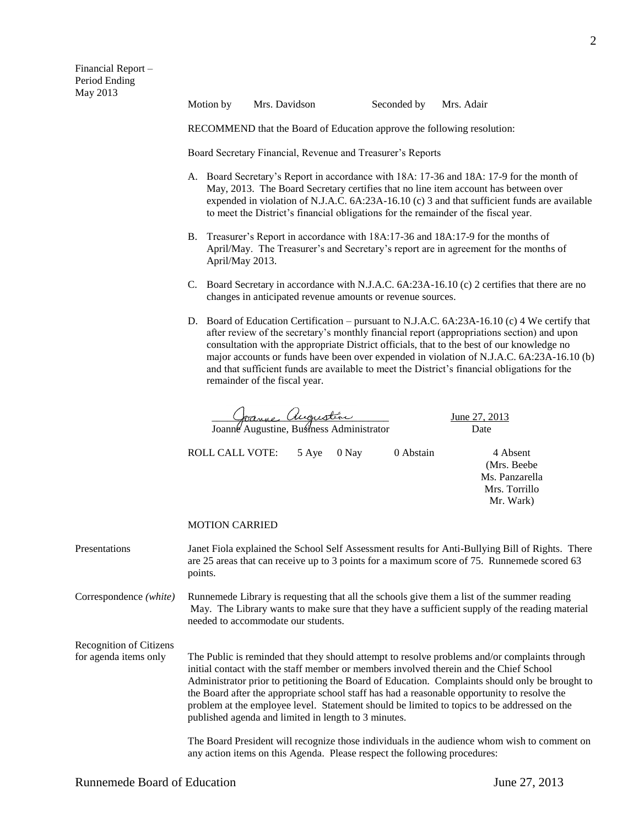RECOMMEND that the Board of Education approve the following resolution:

Board Secretary Financial, Revenue and Treasurer's Reports

- A. Board Secretary's Report in accordance with 18A: 17-36 and 18A: 17-9 for the month of May, 2013. The Board Secretary certifies that no line item account has between over expended in violation of N.J.A.C. 6A:23A-16.10 (c) 3 and that sufficient funds are available to meet the District's financial obligations for the remainder of the fiscal year.
- B. Treasurer's Report in accordance with 18A:17-36 and 18A:17-9 for the months of April/May. The Treasurer's and Secretary's report are in agreement for the months of April/May 2013.
- C. Board Secretary in accordance with N.J.A.C. 6A:23A-16.10 (c) 2 certifies that there are no changes in anticipated revenue amounts or revenue sources.
- D. Board of Education Certification pursuant to N.J.A.C. 6A:23A-16.10 (c) 4 We certify that after review of the secretary's monthly financial report (appropriations section) and upon consultation with the appropriate District officials, that to the best of our knowledge no major accounts or funds have been over expended in violation of N.J.A.C. 6A:23A-16.10 (b) and that sufficient funds are available to meet the District's financial obligations for the remainder of the fiscal year.

 \_\_\_\_\_\_\_\_\_\_\_\_\_\_\_\_\_\_\_\_\_\_\_\_\_\_\_\_\_\_\_\_\_\_ June 27, 2013 Joanne Augustine, Business Administrator Date

ROLL CALL VOTE: 5 Aye 0 Nay 0 Abstain 4 Absent

(Mrs. Beebe Ms. Panzarella Mrs. Torrillo Mr. Wark)

# MOTION CARRIED

Presentations Janet Fiola explained the School Self Assessment results for Anti-Bullying Bill of Rights. There are 25 areas that can receive up to 3 points for a maximum score of 75. Runnemede scored 63 points.

Correspondence *(white)* Runnemede Library is requesting that all the schools give them a list of the summer reading May. The Library wants to make sure that they have a sufficient supply of the reading material needed to accommodate our students.

Recognition of Citizens

for agenda items only The Public is reminded that they should attempt to resolve problems and/or complaints through initial contact with the staff member or members involved therein and the Chief School Administrator prior to petitioning the Board of Education. Complaints should only be brought to the Board after the appropriate school staff has had a reasonable opportunity to resolve the problem at the employee level. Statement should be limited to topics to be addressed on the published agenda and limited in length to 3 minutes.

> The Board President will recognize those individuals in the audience whom wish to comment on any action items on this Agenda. Please respect the following procedures: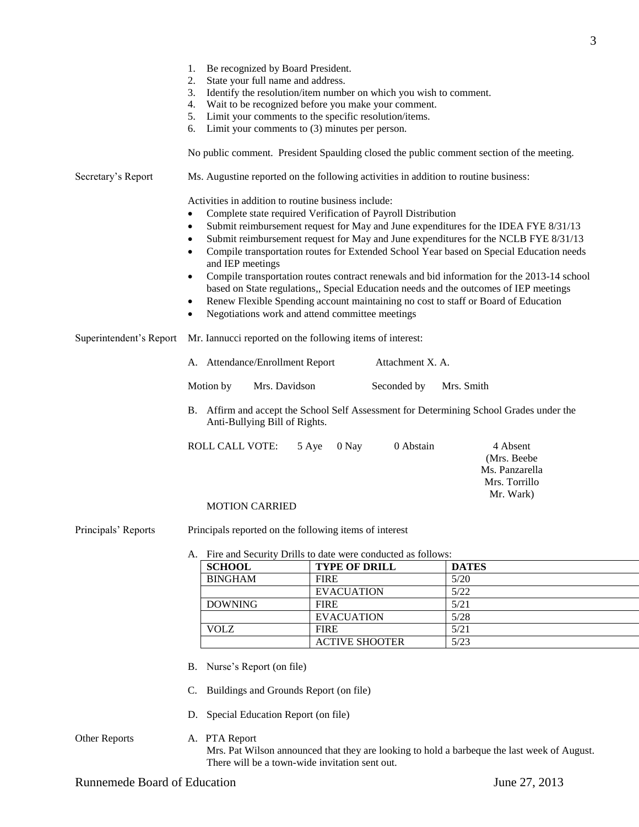|                         | Be recognized by Board President.<br>1.<br>State your full name and address.<br>2. |                                                                                          |                                                                                                                                                                                |  |  |  |  |
|-------------------------|------------------------------------------------------------------------------------|------------------------------------------------------------------------------------------|--------------------------------------------------------------------------------------------------------------------------------------------------------------------------------|--|--|--|--|
|                         | 3.                                                                                 | Identify the resolution/item number on which you wish to comment.                        |                                                                                                                                                                                |  |  |  |  |
|                         | Wait to be recognized before you make your comment.<br>4.                          |                                                                                          |                                                                                                                                                                                |  |  |  |  |
|                         | 5.<br>Limit your comments to $(3)$ minutes per person.<br>6.                       | Limit your comments to the specific resolution/items.                                    |                                                                                                                                                                                |  |  |  |  |
|                         |                                                                                    |                                                                                          |                                                                                                                                                                                |  |  |  |  |
|                         |                                                                                    | No public comment. President Spaulding closed the public comment section of the meeting. |                                                                                                                                                                                |  |  |  |  |
| Secretary's Report      |                                                                                    | Ms. Augustine reported on the following activities in addition to routine business:      |                                                                                                                                                                                |  |  |  |  |
|                         | Activities in addition to routine business include:                                |                                                                                          |                                                                                                                                                                                |  |  |  |  |
|                         | 0                                                                                  | Complete state required Verification of Payroll Distribution                             |                                                                                                                                                                                |  |  |  |  |
|                         | $\bullet$                                                                          |                                                                                          | Submit reimbursement request for May and June expenditures for the IDEA FYE 8/31/13                                                                                            |  |  |  |  |
|                         | $\bullet$                                                                          |                                                                                          | Submit reimbursement request for May and June expenditures for the NCLB FYE 8/31/13<br>Compile transportation routes for Extended School Year based on Special Education needs |  |  |  |  |
|                         | $\bullet$<br>and IEP meetings                                                      |                                                                                          |                                                                                                                                                                                |  |  |  |  |
|                         | $\bullet$                                                                          |                                                                                          | Compile transportation routes contract renewals and bid information for the 2013-14 school                                                                                     |  |  |  |  |
|                         |                                                                                    | based on State regulations,, Special Education needs and the outcomes of IEP meetings    |                                                                                                                                                                                |  |  |  |  |
|                         | $\bullet$                                                                          | Renew Flexible Spending account maintaining no cost to staff or Board of Education       |                                                                                                                                                                                |  |  |  |  |
|                         | ٠                                                                                  | Negotiations work and attend committee meetings                                          |                                                                                                                                                                                |  |  |  |  |
| Superintendent's Report | Mr. Iannucci reported on the following items of interest:                          |                                                                                          |                                                                                                                                                                                |  |  |  |  |
|                         | A. Attendance/Enrollment Report<br>Attachment X. A.                                |                                                                                          |                                                                                                                                                                                |  |  |  |  |
|                         | Motion by<br>Mrs. Davidson<br>Seconded by<br>Mrs. Smith                            |                                                                                          |                                                                                                                                                                                |  |  |  |  |
|                         | Anti-Bullying Bill of Rights.                                                      | B. Affirm and accept the School Self Assessment for Determining School Grades under the  |                                                                                                                                                                                |  |  |  |  |
|                         | <b>ROLL CALL VOTE:</b>                                                             | 0 Abstain<br>5 Aye<br>0 Nay                                                              | 4 Absent<br>(Mrs. Beebe<br>Ms. Panzarella<br>Mrs. Torrillo<br>Mr. Wark)                                                                                                        |  |  |  |  |
|                         | <b>MOTION CARRIED</b>                                                              |                                                                                          |                                                                                                                                                                                |  |  |  |  |
| Principals' Reports     | Principals reported on the following items of interest                             |                                                                                          |                                                                                                                                                                                |  |  |  |  |
|                         | A. Fire and Security Drills to date were conducted as follows:                     |                                                                                          |                                                                                                                                                                                |  |  |  |  |
|                         | <b>SCHOOL</b>                                                                      | <b>TYPE OF DRILL</b>                                                                     | <b>DATES</b>                                                                                                                                                                   |  |  |  |  |
|                         | <b>BINGHAM</b>                                                                     | <b>FIRE</b>                                                                              | 5/20                                                                                                                                                                           |  |  |  |  |
|                         | <b>DOWNING</b>                                                                     | <b>EVACUATION</b><br><b>FIRE</b>                                                         | $5/22$<br>5/21                                                                                                                                                                 |  |  |  |  |
|                         |                                                                                    | <b>EVACUATION</b>                                                                        | $5/28$                                                                                                                                                                         |  |  |  |  |
|                         | <b>VOLZ</b>                                                                        | <b>FIRE</b>                                                                              | 5/21                                                                                                                                                                           |  |  |  |  |
|                         |                                                                                    | <b>ACTIVE SHOOTER</b>                                                                    | $5/23$                                                                                                                                                                         |  |  |  |  |
|                         | B. Nurse's Report (on file)                                                        |                                                                                          |                                                                                                                                                                                |  |  |  |  |
|                         | Buildings and Grounds Report (on file)<br>C.                                       |                                                                                          |                                                                                                                                                                                |  |  |  |  |
|                         | D. Special Education Report (on file)                                              |                                                                                          |                                                                                                                                                                                |  |  |  |  |

Other Reports A. PTA Report

Mrs. Pat Wilson announced that they are looking to hold a barbeque the last week of August. There will be a town-wide invitation sent out.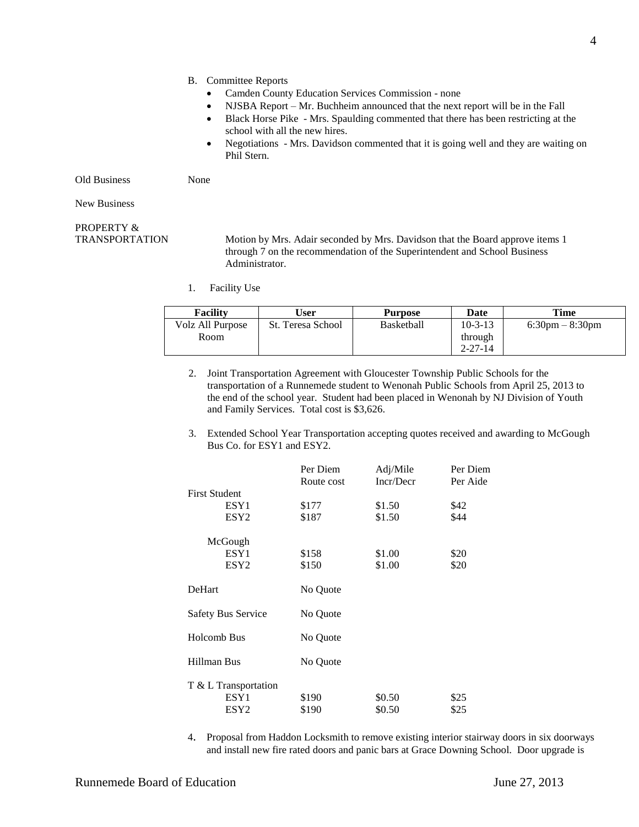- Camden County Education Services Commission none
- NJSBA Report Mr. Buchheim announced that the next report will be in the Fall
- Black Horse Pike Mrs. Spaulding commented that there has been restricting at the school with all the new hires.
- Negotiations Mrs. Davidson commented that it is going well and they are waiting on Phil Stern.

Old Business None

New Business

# PROPERTY &

TRANSPORTATION Motion by Mrs. Adair seconded by Mrs. Davidson that the Board approve items 1 through 7 on the recommendation of the Superintendent and School Business Administrator.

1. Facility Use

| <b>Facility</b>  | User              | <b>Purpose</b>    | Date          | Time                              |
|------------------|-------------------|-------------------|---------------|-----------------------------------|
| Volz All Purpose | St. Teresa School | <b>Basketball</b> | $10 - 3 - 13$ | $6:30 \text{pm} - 8:30 \text{pm}$ |
| Room             |                   |                   | through       |                                   |
|                  |                   |                   | $2 - 27 - 14$ |                                   |

- 2. Joint Transportation Agreement with Gloucester Township Public Schools for the transportation of a Runnemede student to Wenonah Public Schools from April 25, 2013 to the end of the school year. Student had been placed in Wenonah by NJ Division of Youth and Family Services. Total cost is \$3,626.
- 3. Extended School Year Transportation accepting quotes received and awarding to McGough Bus Co. for ESY1 and ESY2.

|                           | Per Diem   | Adj/Mile  | Per Diem |
|---------------------------|------------|-----------|----------|
|                           | Route cost | Incr/Decr | Per Aide |
| <b>First Student</b>      |            |           |          |
| ESY1                      | \$177      | \$1.50    | \$42     |
| ESY <sub>2</sub>          | \$187      | \$1.50    | \$44     |
| McGough                   |            |           |          |
| ESY1                      | \$158      | \$1.00    | \$20     |
| ESY <sub>2</sub>          | \$150      | \$1.00    | \$20     |
| DeHart                    | No Quote   |           |          |
| <b>Safety Bus Service</b> | No Quote   |           |          |
| <b>Holcomb Bus</b>        | No Quote   |           |          |
| Hillman Bus               | No Quote   |           |          |
| T & L Transportation      |            |           |          |
| ESY1                      | \$190      | \$0.50    | \$25     |
| ESY <sub>2</sub>          | \$190      | \$0.50    | \$25     |

4. Proposal from Haddon Locksmith to remove existing interior stairway doors in six doorways and install new fire rated doors and panic bars at Grace Downing School. Door upgrade is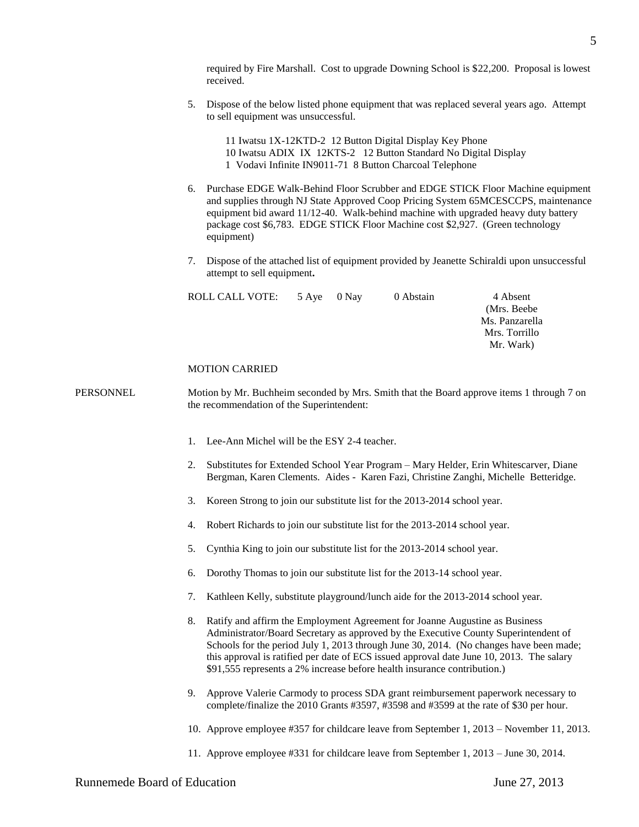required by Fire Marshall. Cost to upgrade Downing School is \$22,200. Proposal is lowest received.

5. Dispose of the below listed phone equipment that was replaced several years ago. Attempt to sell equipment was unsuccessful.

11 Iwatsu 1X-12KTD-2 12 Button Digital Display Key Phone 10 Iwatsu ADIX IX 12KTS-2 12 Button Standard No Digital Display 1 Vodavi Infinite IN9011-71 8 Button Charcoal Telephone

- 6. Purchase EDGE Walk-Behind Floor Scrubber and EDGE STICK Floor Machine equipment and supplies through NJ State Approved Coop Pricing System 65MCESCCPS, maintenance equipment bid award 11/12-40. Walk-behind machine with upgraded heavy duty battery package cost \$6,783. EDGE STICK Floor Machine cost \$2,927. (Green technology equipment)
- 7. Dispose of the attached list of equipment provided by Jeanette Schiraldi upon unsuccessful attempt to sell equipment**.**

| ROLL CALL VOTE: | 5 Aye 0 Nay | 0 Abstain | 4 Absent       |
|-----------------|-------------|-----------|----------------|
|                 |             |           | (Mrs. Beebe)   |
|                 |             |           | Ms. Panzarella |
|                 |             |           | Mrs. Torrillo  |
|                 |             |           | Mr. Wark)      |
|                 |             |           |                |

#### MOTION CARRIED

PERSONNEL Motion by Mr. Buchheim seconded by Mrs. Smith that the Board approve items 1 through 7 on the recommendation of the Superintendent:

- 1. Lee-Ann Michel will be the ESY 2-4 teacher.
- 2. Substitutes for Extended School Year Program Mary Helder, Erin Whitescarver, Diane Bergman, Karen Clements. Aides - Karen Fazi, Christine Zanghi, Michelle Betteridge.
- 3. Koreen Strong to join our substitute list for the 2013-2014 school year.
- 4. Robert Richards to join our substitute list for the 2013-2014 school year.
- 5. Cynthia King to join our substitute list for the 2013-2014 school year.
- 6. Dorothy Thomas to join our substitute list for the 2013-14 school year.
- 7. Kathleen Kelly, substitute playground/lunch aide for the 2013-2014 school year.
- 8. Ratify and affirm the Employment Agreement for Joanne Augustine as Business Administrator/Board Secretary as approved by the Executive County Superintendent of Schools for the period July 1, 2013 through June 30, 2014. (No changes have been made; this approval is ratified per date of ECS issued approval date June 10, 2013. The salary \$91,555 represents a 2% increase before health insurance contribution.)
- 9. Approve Valerie Carmody to process SDA grant reimbursement paperwork necessary to complete/finalize the 2010 Grants #3597, #3598 and #3599 at the rate of \$30 per hour.
- 10. Approve employee #357 for childcare leave from September 1, 2013 November 11, 2013.
- 11. Approve employee #331 for childcare leave from September 1, 2013 June 30, 2014.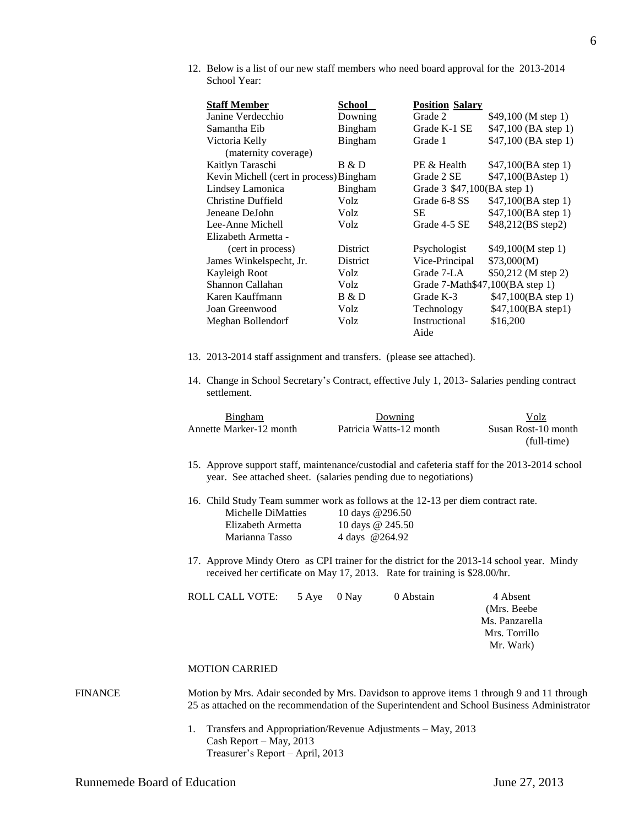12. Below is a list of our new staff members who need board approval for the 2013-2014 School Year:

| <b>Staff Member</b>                     | School          | <b>Position Salary</b>          |                       |
|-----------------------------------------|-----------------|---------------------------------|-----------------------|
| Janine Verdecchio                       | Downing         | Grade 2                         | \$49,100 (M step 1)   |
| Samantha Eib                            | Bingham         | Grade K-1 SE                    | \$47,100 (BA step 1)  |
| Victoria Kelly                          | <b>Bingham</b>  | Grade 1                         | \$47,100 (BA step 1)  |
| (maternity coverage)                    |                 |                                 |                       |
| Kaitlyn Taraschi                        | B & D           | PE & Health                     | \$47,100(BA step 1)   |
| Kevin Michell (cert in process) Bingham |                 | Grade 2 SE                      | \$47,100(BAstep 1)    |
| Lindsey Lamonica                        | Bingham         | Grade 3 \$47,100(BA step 1)     |                       |
| Christine Duffield                      | Volz            | Grade 6-8 SS                    | \$47,100(BA step 1)   |
| Jeneane DeJohn                          | Volz            | <b>SE</b>                       | \$47,100(BA step 1)   |
| Lee-Anne Michell                        | Volz            | Grade 4-5 SE                    | \$48,212(BS step2)    |
| Elizabeth Armetta -                     |                 |                                 |                       |
| (cert in process)                       | District        | Psychologist                    | \$49,100 $(M$ step 1) |
| James Winkelspecht, Jr.                 | <b>District</b> | Vice-Principal                  | \$73,000(M)           |
| Kayleigh Root                           | Volz            | Grade 7-LA                      | \$50,212 (M step 2)   |
| Shannon Callahan                        | Volz            | Grade 7-Math\$47,100(BA step 1) |                       |
| Karen Kauffmann                         | B & D           | Grade K-3                       | \$47,100(BA step 1)   |
| Joan Greenwood                          | Volz            | Technology                      | \$47,100(BA step1)    |
| Meghan Bollendorf                       | Volz            | Instructional                   | \$16,200              |
|                                         |                 | Aide                            |                       |

- 13. 2013-2014 staff assignment and transfers. (please see attached).
- 14. Change in School Secretary's Contract, effective July 1, 2013- Salaries pending contract settlement.

|         | <b>Bingham</b><br>Annette Marker-12 month                                                                                                                                                                                                   |                | Downing<br>Patricia Watts-12 month                                                                                | Volz<br>Susan Rost-10 month<br>(full-time)                              |
|---------|---------------------------------------------------------------------------------------------------------------------------------------------------------------------------------------------------------------------------------------------|----------------|-------------------------------------------------------------------------------------------------------------------|-------------------------------------------------------------------------|
|         | 15. Approve support staff, maintenance/custodial and cafeteria staff for the 2013-2014 school<br>year. See attached sheet. (salaries pending due to negotiations)                                                                           |                |                                                                                                                   |                                                                         |
|         | 16. Child Study Team summer work as follows at the 12-13 per diem contract rate.<br>Michelle DiMatties<br>Elizabeth Armetta<br>Marianna Tasso<br>17. Approve Mindy Otero as CPI trainer for the district for the 2013-14 school year. Mindy | 4 days @264.92 | 10 days @296.50<br>10 days @ 245.50<br>received her certificate on May 17, 2013. Rate for training is \$28.00/hr. |                                                                         |
|         | <b>ROLL CALL VOTE:</b>                                                                                                                                                                                                                      | 5 Aye<br>0 Nay | 0 Abstain                                                                                                         | 4 Absent<br>(Mrs. Beebe<br>Ms. Panzarella<br>Mrs. Torrillo<br>Mr. Wark) |
|         | <b>MOTION CARRIED</b>                                                                                                                                                                                                                       |                |                                                                                                                   |                                                                         |
| FINANCE | Motion by Mrs. Adair seconded by Mrs. Davidson to approve items 1 through 9 and 11 through<br>25 as attached on the recommendation of the Superintendent and School Business Administrator                                                  |                |                                                                                                                   |                                                                         |

1. Transfers and Appropriation/Revenue Adjustments – May, 2013 Cash Report – May, 2013 Treasurer's Report – April, 2013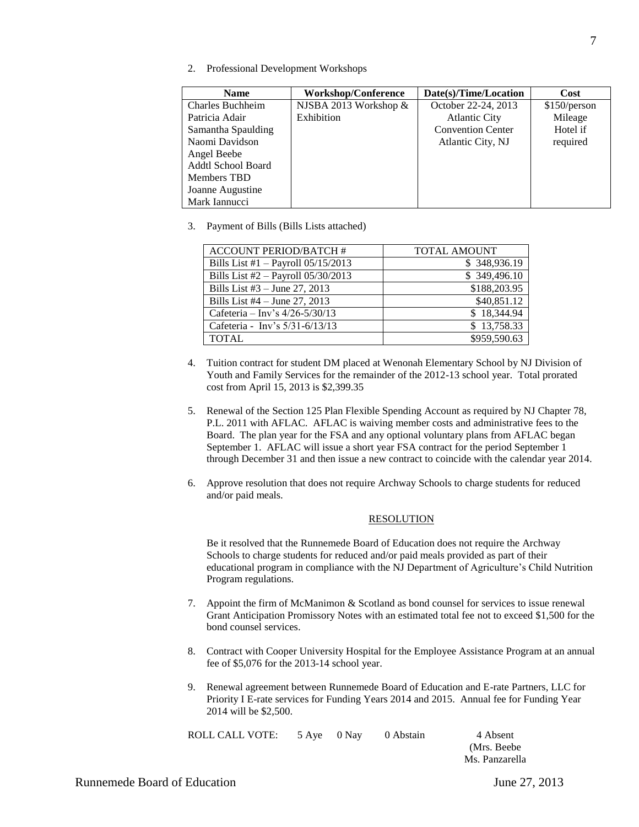2. Professional Development Workshops

| <b>Name</b>               | <b>Workshop/Conference</b> | Date(s)/Time/Location    | Cost         |
|---------------------------|----------------------------|--------------------------|--------------|
| Charles Buchheim          | NJSBA 2013 Workshop &      | October 22-24, 2013      | \$150/person |
| Patricia Adair            | Exhibition                 | <b>Atlantic City</b>     | Mileage      |
| Samantha Spaulding        |                            | <b>Convention Center</b> | Hotel if     |
| Naomi Davidson            |                            | Atlantic City, NJ        | required     |
| Angel Beebe               |                            |                          |              |
| <b>Addtl School Board</b> |                            |                          |              |
| Members TBD               |                            |                          |              |
| Joanne Augustine          |                            |                          |              |
| Mark Iannucci             |                            |                          |              |

3. Payment of Bills (Bills Lists attached)

| <b>ACCOUNT PERIOD/BATCH #</b>          | <b>TOTAL AMOUNT</b> |
|----------------------------------------|---------------------|
| Bills List #1 - Payroll $05/15/2013$   | \$348,936.19        |
| Bills List $#2$ – Payroll $05/30/2013$ | \$349,496.10        |
| Bills List $#3 - June 27, 2013$        | \$188,203.95        |
| Bills List $#4$ – June 27, 2013        | \$40,851.12         |
| Cafeteria - Inv's 4/26-5/30/13         | \$18,344.94         |
| Cafeteria - Inv's 5/31-6/13/13         | \$13,758.33         |
| <b>TOTAL</b>                           | \$959,590.63        |

- 4. Tuition contract for student DM placed at Wenonah Elementary School by NJ Division of Youth and Family Services for the remainder of the 2012-13 school year. Total prorated cost from April 15, 2013 is \$2,399.35
- 5. Renewal of the Section 125 Plan Flexible Spending Account as required by NJ Chapter 78, P.L. 2011 with AFLAC. AFLAC is waiving member costs and administrative fees to the Board. The plan year for the FSA and any optional voluntary plans from AFLAC began September 1. AFLAC will issue a short year FSA contract for the period September 1 through December 31 and then issue a new contract to coincide with the calendar year 2014.
- 6. Approve resolution that does not require Archway Schools to charge students for reduced and/or paid meals.

# RESOLUTION

Be it resolved that the Runnemede Board of Education does not require the Archway Schools to charge students for reduced and/or paid meals provided as part of their educational program in compliance with the NJ Department of Agriculture's Child Nutrition Program regulations.

- 7. Appoint the firm of McManimon & Scotland as bond counsel for services to issue renewal Grant Anticipation Promissory Notes with an estimated total fee not to exceed \$1,500 for the bond counsel services.
- 8. Contract with Cooper University Hospital for the Employee Assistance Program at an annual fee of \$5,076 for the 2013-14 school year.
- 9. Renewal agreement between Runnemede Board of Education and E-rate Partners, LLC for Priority I E-rate services for Funding Years 2014 and 2015. Annual fee for Funding Year 2014 will be \$2,500.

| ROLL CALL VOTE: 5 Aye 0 Nay 0 Abstain |  | 4 Absent<br>(Mrs. Beel) |
|---------------------------------------|--|-------------------------|
|                                       |  | Ms. Panzare             |

(Mrs. Beebe Ms. Panzarella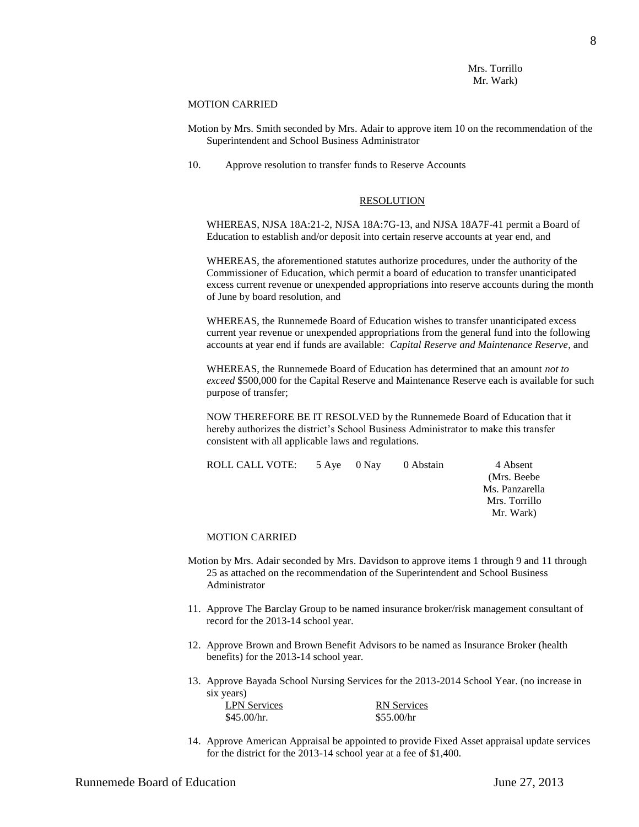# Mrs. Torrillo Mr. Wark)

## MOTION CARRIED

- Motion by Mrs. Smith seconded by Mrs. Adair to approve item 10 on the recommendation of the Superintendent and School Business Administrator
- 10. Approve resolution to transfer funds to Reserve Accounts

# RESOLUTION

WHEREAS, NJSA 18A:21-2, NJSA 18A:7G-13, and NJSA 18A7F-41 permit a Board of Education to establish and/or deposit into certain reserve accounts at year end, and

WHEREAS, the aforementioned statutes authorize procedures, under the authority of the Commissioner of Education, which permit a board of education to transfer unanticipated excess current revenue or unexpended appropriations into reserve accounts during the month of June by board resolution, and

WHEREAS, the Runnemede Board of Education wishes to transfer unanticipated excess current year revenue or unexpended appropriations from the general fund into the following accounts at year end if funds are available: *Capital Reserve and Maintenance Reserve*, and

WHEREAS, the Runnemede Board of Education has determined that an amount *not to exceed* \$500,000 for the Capital Reserve and Maintenance Reserve each is available for such purpose of transfer;

NOW THEREFORE BE IT RESOLVED by the Runnemede Board of Education that it hereby authorizes the district's School Business Administrator to make this transfer consistent with all applicable laws and regulations.

|  | 0 Abstain   | 4 Absent       |
|--|-------------|----------------|
|  |             | (Mrs. Beebe)   |
|  |             | Ms. Panzarella |
|  |             | Mrs. Torrillo  |
|  |             | Mr. Wark)      |
|  | 5 Aye 0 Nay |                |

# MOTION CARRIED

- Motion by Mrs. Adair seconded by Mrs. Davidson to approve items 1 through 9 and 11 through 25 as attached on the recommendation of the Superintendent and School Business Administrator
- 11. Approve The Barclay Group to be named insurance broker/risk management consultant of record for the 2013-14 school year.
- 12. Approve Brown and Brown Benefit Advisors to be named as Insurance Broker (health benefits) for the 2013-14 school year.
- 13. Approve Bayada School Nursing Services for the 2013-2014 School Year. (no increase in six years)

| <b>LPN</b> Services | <b>RN</b> Services |
|---------------------|--------------------|
| \$45.00/hr.         | \$55.00/hr         |

14. Approve American Appraisal be appointed to provide Fixed Asset appraisal update services for the district for the 2013-14 school year at a fee of \$1,400.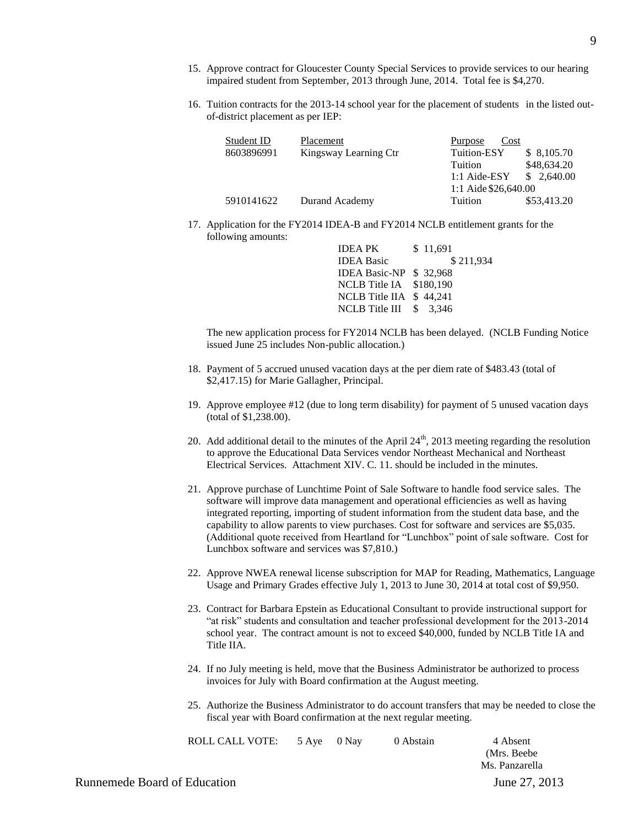- 15. Approve contract for Gloucester County Special Services to provide services to our hearing impaired student from September, 2013 through June, 2014. Total fee is \$4,270.
- 16. Tuition contracts for the 2013-14 school year for the placement of students in the listed outof-district placement as per IEP:

| Student ID | Placement             | Purpose<br>Cost      |             |
|------------|-----------------------|----------------------|-------------|
| 8603896991 | Kingsway Learning Ctr | Tuition-ESY          | \$8,105.70  |
|            |                       | Tuition              | \$48,634.20 |
|            |                       | $1:1$ Aide-ESY       | \$2,640.00  |
|            |                       | 1:1 Aide \$26,640.00 |             |
| 5910141622 | Durand Academy        | Tuition              | \$53,413.20 |

17. Application for the FY2014 IDEA-B and FY2014 NCLB entitlement grants for the following amounts:

| <b>IDEA PK</b>           | \$11,691  |
|--------------------------|-----------|
| <b>IDEA Basic</b>        | \$211,934 |
| IDEA Basic-NP \$ 32.968  |           |
| NCLB Title IA \$180,190  |           |
| NCLB Title IIA $$44.241$ |           |
| NCLB Title III $$3.346$  |           |
|                          |           |

The new application process for FY2014 NCLB has been delayed. (NCLB Funding Notice issued June 25 includes Non-public allocation.)

- 18. Payment of 5 accrued unused vacation days at the per diem rate of \$483.43 (total of \$2,417.15) for Marie Gallagher, Principal.
- 19. Approve employee #12 (due to long term disability) for payment of 5 unused vacation days (total of \$1,238.00).
- 20. Add additional detail to the minutes of the April  $24<sup>th</sup>$ , 2013 meeting regarding the resolution to approve the Educational Data Services vendor Northeast Mechanical and Northeast Electrical Services. Attachment XIV. C. 11. should be included in the minutes.
- 21. Approve purchase of Lunchtime Point of Sale Software to handle food service sales. The software will improve data management and operational efficiencies as well as having integrated reporting, importing of student information from the student data base, and the capability to allow parents to view purchases. Cost for software and services are \$5,035. (Additional quote received from Heartland for "Lunchbox" point of sale software. Cost for Lunchbox software and services was \$7,810.)
- 22. Approve NWEA renewal license subscription for MAP for Reading, Mathematics, Language Usage and Primary Grades effective July 1, 2013 to June 30, 2014 at total cost of \$9,950.
- 23. Contract for Barbara Epstein as Educational Consultant to provide instructional support for "at risk" students and consultation and teacher professional development for the 2013-2014 school year. The contract amount is not to exceed \$40,000, funded by NCLB Title IA and Title IIA.
- 24. If no July meeting is held, move that the Business Administrator be authorized to process invoices for July with Board confirmation at the August meeting.
- 25. Authorize the Business Administrator to do account transfers that may be needed to close the fiscal year with Board confirmation at the next regular meeting.

|                              |       |        | riscar year with Doard commitmation at the next regular meeting. |                                            |
|------------------------------|-------|--------|------------------------------------------------------------------|--------------------------------------------|
| ROLL CALL VOTE:              | 5 Ave | () Nav | 0 Abstain                                                        | 4 Absent<br>(Mrs. Beebe)<br>Ms. Panzarella |
| Runnemede Board of Education |       |        |                                                                  | June 27, 2013                              |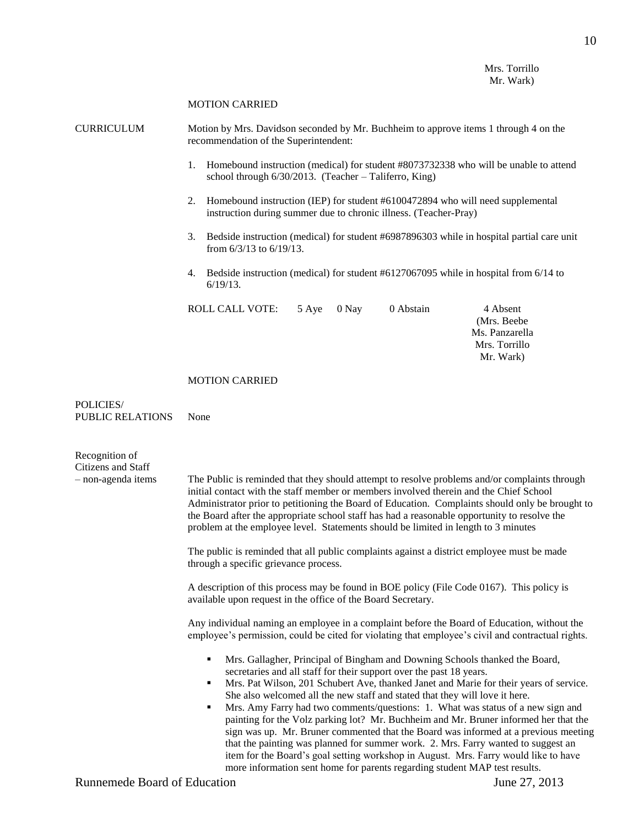Mrs. Torrillo Mr. Wark)

#### MOTION CARRIED

CURRICULUM Motion by Mrs. Davidson seconded by Mr. Buchheim to approve items 1 through 4 on the recommendation of the Superintendent:

- 1. Homebound instruction (medical) for student #8073732338 who will be unable to attend school through 6/30/2013. (Teacher – Taliferro, King)
- 2. Homebound instruction (IEP) for student #6100472894 who will need supplemental instruction during summer due to chronic illness. (Teacher-Pray)
- 3. Bedside instruction (medical) for student #6987896303 while in hospital partial care unit from 6/3/13 to 6/19/13.
- 4. Bedside instruction (medical) for student #6127067095 while in hospital from 6/14 to 6/19/13.

| ROLL CALL VOTE: \ | 5 Aye 0 Nay | 0 Abstain | 4 Absent       |
|-------------------|-------------|-----------|----------------|
|                   |             |           | (Mrs. Beebe)   |
|                   |             |           | Ms. Panzarella |
|                   |             |           | Mrs. Torrillo  |
|                   |             |           | Mr. Wark)      |
|                   |             |           |                |

## MOTION CARRIED

POLICIES/ PUBLIC RELATIONS None

| Recognition of<br>Citizens and Staff |                                                                                                                                                                                                                                                                                                                                                                                                                                                                                                                                                                                                                                                                                                                                                                                                                                                                   |
|--------------------------------------|-------------------------------------------------------------------------------------------------------------------------------------------------------------------------------------------------------------------------------------------------------------------------------------------------------------------------------------------------------------------------------------------------------------------------------------------------------------------------------------------------------------------------------------------------------------------------------------------------------------------------------------------------------------------------------------------------------------------------------------------------------------------------------------------------------------------------------------------------------------------|
| - non-agenda items                   | The Public is reminded that they should attempt to resolve problems and/or complaints through<br>initial contact with the staff member or members involved therein and the Chief School<br>Administrator prior to petitioning the Board of Education. Complaints should only be brought to<br>the Board after the appropriate school staff has had a reasonable opportunity to resolve the<br>problem at the employee level. Statements should be limited in length to 3 minutes                                                                                                                                                                                                                                                                                                                                                                                  |
|                                      | The public is reminded that all public complaints against a district employee must be made<br>through a specific grievance process.                                                                                                                                                                                                                                                                                                                                                                                                                                                                                                                                                                                                                                                                                                                               |
|                                      | A description of this process may be found in BOE policy (File Code 0167). This policy is<br>available upon request in the office of the Board Secretary.                                                                                                                                                                                                                                                                                                                                                                                                                                                                                                                                                                                                                                                                                                         |
|                                      | Any individual naming an employee in a complaint before the Board of Education, without the<br>employee's permission, could be cited for violating that employee's civil and contractual rights.                                                                                                                                                                                                                                                                                                                                                                                                                                                                                                                                                                                                                                                                  |
|                                      | Mrs. Gallagher, Principal of Bingham and Downing Schools thanked the Board,<br>secretaries and all staff for their support over the past 18 years.<br>Mrs. Pat Wilson, 201 Schubert Ave, thanked Janet and Marie for their years of service.<br>٠<br>She also welcomed all the new staff and stated that they will love it here.<br>Mrs. Amy Farry had two comments/questions: 1. What was status of a new sign and<br>٠<br>painting for the Volz parking lot? Mr. Buchheim and Mr. Bruner informed her that the<br>sign was up. Mr. Bruner commented that the Board was informed at a previous meeting<br>that the painting was planned for summer work. 2. Mrs. Farry wanted to suggest an<br>item for the Board's goal setting workshop in August. Mrs. Farry would like to have<br>more information sent home for parents regarding student MAP test results. |